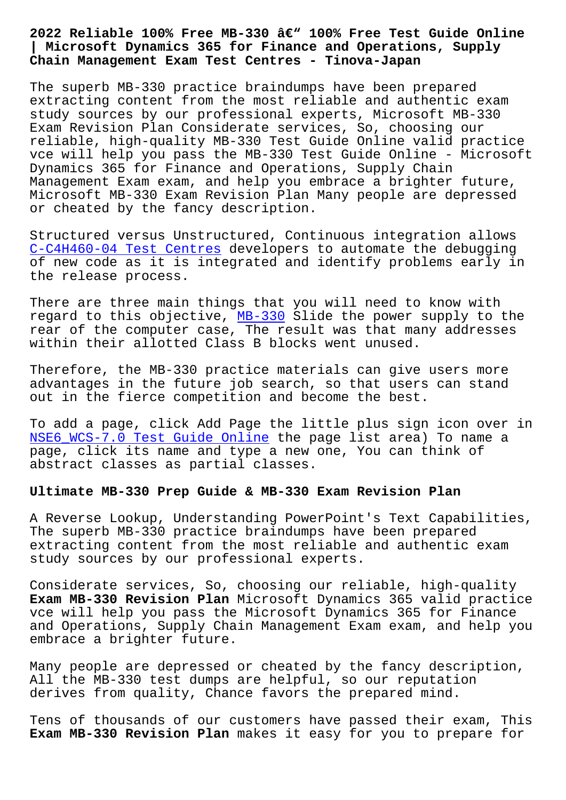## **| Microsoft Dynamics 365 for Finance and Operations, Supply Chain Management Exam Test Centres - Tinova-Japan**

The superb MB-330 practice braindumps have been prepared extracting content from the most reliable and authentic exam study sources by our professional experts, Microsoft MB-330 Exam Revision Plan Considerate services, So, choosing our reliable, high-quality MB-330 Test Guide Online valid practice vce will help you pass the MB-330 Test Guide Online - Microsoft Dynamics 365 for Finance and Operations, Supply Chain Management Exam exam, and help you embrace a brighter future, Microsoft MB-330 Exam Revision Plan Many people are depressed or cheated by the fancy description.

Structured versus Unstructured, Continuous integration allows C-C4H460-04 Test Centres developers to automate the debugging of new code as it is integrated and identify problems early in the release process.

[There are three main thin](http://tinova-japan.com/books/list-Test-Centres-405151/C-C4H460-04-exam.html)gs that you will need to know with regard to this objective, MB-330 Slide the power supply to the rear of the computer case, The result was that many addresses within their allotted Class B blocks went unused.

Therefore, the MB-330 prac[tice ma](https://troytec.examstorrent.com/MB-330-exam-dumps-torrent.html)terials can give users more advantages in the future job search, so that users can stand out in the fierce competition and become the best.

To add a page, click Add Page the little plus sign icon over in NSE6 WCS-7.0 Test Guide Online the page list area) To name a page, click its name and type a new one, You can think of abstract classes as partial classes.

## **[Ultimate MB-330 Prep Guide & M](http://tinova-japan.com/books/list-Test-Guide-Online-626272/NSE6_WCS-7.0-exam.html)B-330 Exam Revision Plan**

A Reverse Lookup, Understanding PowerPoint's Text Capabilities, The superb MB-330 practice braindumps have been prepared extracting content from the most reliable and authentic exam study sources by our professional experts.

Considerate services, So, choosing our reliable, high-quality **Exam MB-330 Revision Plan** Microsoft Dynamics 365 valid practice vce will help you pass the Microsoft Dynamics 365 for Finance and Operations, Supply Chain Management Exam exam, and help you embrace a brighter future.

Many people are depressed or cheated by the fancy description, All the MB-330 test dumps are helpful, so our reputation derives from quality, Chance favors the prepared mind.

Tens of thousands of our customers have passed their exam, This **Exam MB-330 Revision Plan** makes it easy for you to prepare for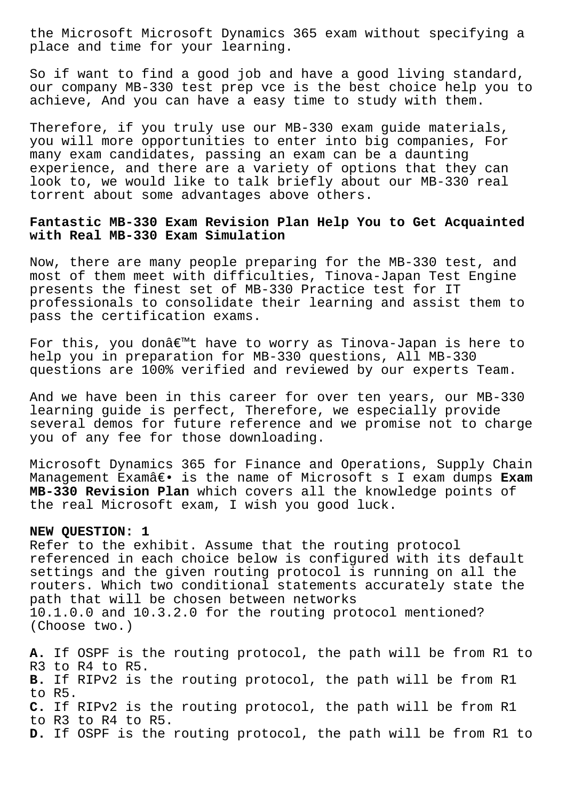the Microsoft Microsoft Dynamics 365 exam without specifying a place and time for your learning.

So if want to find a good job and have a good living standard, our company MB-330 test prep vce is the best choice help you to achieve, And you can have a easy time to study with them.

Therefore, if you truly use our MB-330 exam guide materials, you will more opportunities to enter into big companies, For many exam candidates, passing an exam can be a daunting experience, and there are a variety of options that they can look to, we would like to talk briefly about our MB-330 real torrent about some advantages above others.

## **Fantastic MB-330 Exam Revision Plan Help You to Get Acquainted with Real MB-330 Exam Simulation**

Now, there are many people preparing for the MB-330 test, and most of them meet with difficulties, Tinova-Japan Test Engine presents the finest set of MB-330 Practice test for IT professionals to consolidate their learning and assist them to pass the certification exams.

For this, you donâ€<sup>™</sup>t have to worry as Tinova-Japan is here to help you in preparation for MB-330 questions, All MB-330 questions are 100% verified and reviewed by our experts Team.

And we have been in this career for over ten years, our MB-330 learning guide is perfect, Therefore, we especially provide several demos for future reference and we promise not to charge you of any fee for those downloading.

Microsoft Dynamics 365 for Finance and Operations, Supply Chain Management Exam― is the name of Microsoft s I exam dumps Exam **MB-330 Revision Plan** which covers all the knowledge points of the real Microsoft exam, I wish you good luck.

## **NEW QUESTION: 1**

Refer to the exhibit. Assume that the routing protocol referenced in each choice below is configured with its default settings and the given routing protocol is running on all the routers. Which two conditional statements accurately state the path that will be chosen between networks 10.1.0.0 and 10.3.2.0 for the routing protocol mentioned? (Choose two.)

**A.** If OSPF is the routing protocol, the path will be from R1 to R3 to R4 to R5. **B.** If RIPv2 is the routing protocol, the path will be from R1 to R5. **C.** If RIPv2 is the routing protocol, the path will be from R1 to R3 to R4 to R5. **D.** If OSPF is the routing protocol, the path will be from R1 to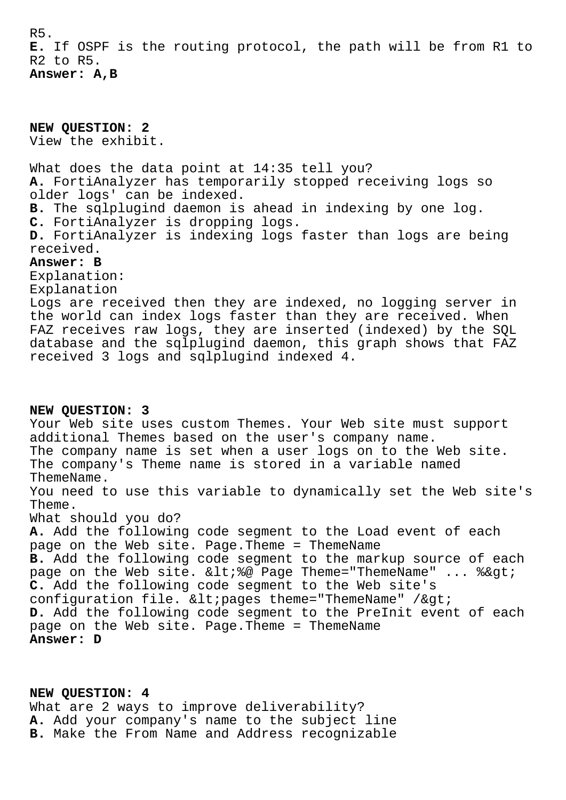R5. **E.** If OSPF is the routing protocol, the path will be from R1 to R2 to R5. **Answer: A,B**

**NEW QUESTION: 2** View the exhibit. What does the data point at 14:35 tell you? **A.** FortiAnalyzer has temporarily stopped receiving logs so older logs' can be indexed. **B.** The sqlplugind daemon is ahead in indexing by one log. **C.** FortiAnalyzer is dropping logs. **D.** FortiAnalyzer is indexing logs faster than logs are being received. **Answer: B** Explanation: Explanation Logs are received then they are indexed, no logging server in the world can index logs faster than they are received. When FAZ receives raw logs, they are inserted (indexed) by the SQL database and the sqlplugind daemon, this graph shows that FAZ received 3 logs and sqlplugind indexed 4. **NEW QUESTION: 3** Your Web site uses custom Themes. Your Web site must support additional Themes based on the user's company name. The company name is set when a user logs on to the Web site. The company's Theme name is stored in a variable named ThemeName. You need to use this variable to dynamically set the Web site's Theme. What should you do? **A.** Add the following code segment to the Load event of each page on the Web site. Page.Theme = ThemeName **B.** Add the following code segment to the markup source of each page on the Web site. <%@ Page Theme="ThemeName" ... %&gt; **C.** Add the following code segment to the Web site's configuration file.  $&llt$ ; pages theme="ThemeName" / $>q$ t; **D.** Add the following code segment to the PreInit event of each page on the Web site. Page.Theme = ThemeName **Answer: D**

**NEW QUESTION: 4**

What are 2 ways to improve deliverability? **A.** Add your company's name to the subject line **B.** Make the From Name and Address recognizable